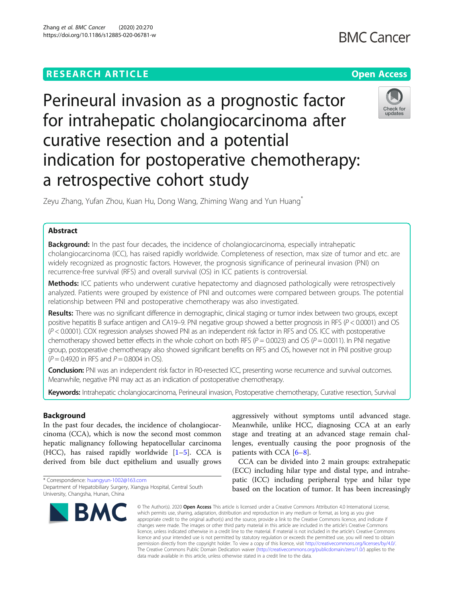# **RESEARCH ARTICLE Example 2014 12:30 The Contract of Contract ACCESS**

# Perineural invasion as a prognostic factor for intrahepatic cholangiocarcinoma after curative resection and a potential indication for postoperative chemotherapy: a retrospective cohort study

Zeyu Zhang, Yufan Zhou, Kuan Hu, Dong Wang, Zhiming Wang and Yun Huang<sup>\*</sup>

# Abstract

**Background:** In the past four decades, the incidence of cholangiocarcinoma, especially intrahepatic cholangiocarcinoma (ICC), has raised rapidly worldwide. Completeness of resection, max size of tumor and etc. are widely recognized as prognostic factors. However, the prognosis significance of perineural invasion (PNI) on recurrence-free survival (RFS) and overall survival (OS) in ICC patients is controversial.

Methods: ICC patients who underwent curative hepatectomy and diagnosed pathologically were retrospectively analyzed. Patients were grouped by existence of PNI and outcomes were compared between groups. The potential relationship between PNI and postoperative chemotherapy was also investigated.

Results: There was no significant difference in demographic, clinical staging or tumor index between two groups, except positive hepatitis B surface antigen and CA19–9. PNI negative group showed a better prognosis in RFS (P < 0.0001) and OS (P < 0.0001). COX regression analyses showed PNI as an independent risk factor in RFS and OS. ICC with postoperative chemotherapy showed better effects in the whole cohort on both RFS ( $P = 0.0023$ ) and OS ( $P = 0.0011$ ). In PNI negative group, postoperative chemotherapy also showed significant benefits on RFS and OS, however not in PNI positive group  $(P = 0.4920$  in RFS and  $P = 0.8004$  in OS).

Conclusion: PNI was an independent risk factor in R0-resected ICC, presenting worse recurrence and survival outcomes. Meanwhile, negative PNI may act as an indication of postoperative chemotherapy.

Keywords: Intrahepatic cholangiocarcinoma, Perineural invasion, Postoperative chemotherapy, Curative resection, Survival

# Background

In the past four decades, the incidence of cholangiocarcinoma (CCA), which is now the second most common hepatic malignancy following hepatocellular carcinoma (HCC), has raised rapidly worldwide [[1](#page-9-0)–[5\]](#page-10-0). CCA is derived from bile duct epithelium and usually grows

Department of Hepatobiliary Surgery, Xiangya Hospital, Central South University, Changsha, Hunan, China

# \* Correspondence: [huangyun-1002@163.com](mailto:huangyun-1002@163.com)

aggressively without symptoms until advanced stage. Meanwhile, unlike HCC, diagnosing CCA at an early stage and treating at an advanced stage remain challenges, eventually causing the poor prognosis of the patients with CCA [[6](#page-10-0)–[8\]](#page-10-0).

CCA can be divided into 2 main groups: extrahepatic (ECC) including hilar type and distal type, and intrahepatic (ICC) including peripheral type and hilar type based on the location of tumor. It has been increasingly



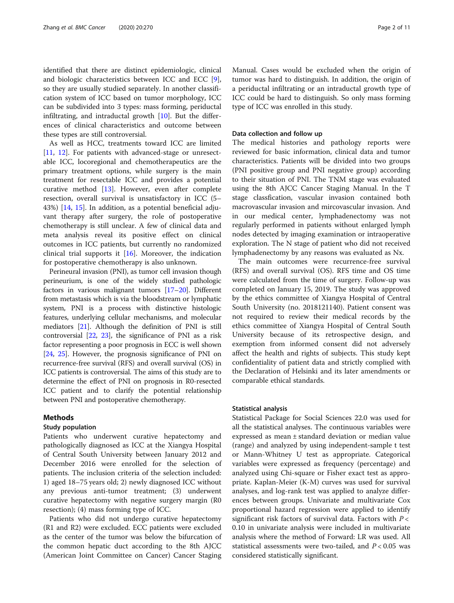identified that there are distinct epidemiologic, clinical and biologic characteristics between ICC and ECC [\[9](#page-10-0)], so they are usually studied separately. In another classification system of ICC based on tumor morphology, ICC can be subdivided into 3 types: mass forming, periductal infiltrating, and intraductal growth  $[10]$  $[10]$ . But the differences of clinical characteristics and outcome between these types are still controversial.

As well as HCC, treatments toward ICC are limited [[11,](#page-10-0) [12](#page-10-0)]. For patients with advanced-stage or unresectable ICC, locoregional and chemotherapeutics are the primary treatment options, while surgery is the main treatment for resectable ICC and provides a potential curative method [\[13](#page-10-0)]. However, even after complete resection, overall survival is unsatisfactory in ICC (5– 43%) [\[14,](#page-10-0) [15](#page-10-0)]. In addition, as a potential beneficial adjuvant therapy after surgery, the role of postoperative chemotherapy is still unclear. A few of clinical data and meta analysis reveal its positive effect on clinical outcomes in ICC patients, but currently no randomized clinical trial supports it [\[16](#page-10-0)]. Moreover, the indication for postoperative chemotherapy is also unknown.

Perineural invasion (PNI), as tumor cell invasion though perineurium, is one of the widely studied pathologic factors in various malignant tumors [\[17](#page-10-0)–[20](#page-10-0)]. Different from metastasis which is via the bloodstream or lymphatic system, PNI is a process with distinctive histologic features, underlying cellular mechanisms, and molecular mediators [[21\]](#page-10-0). Although the definition of PNI is still controversial [\[22,](#page-10-0) [23](#page-10-0)], the significance of PNI as a risk factor representing a poor prognosis in ECC is well shown [[24](#page-10-0), [25](#page-10-0)]. However, the prognosis significance of PNI on recurrence-free survival (RFS) and overall survival (OS) in ICC patients is controversial. The aims of this study are to determine the effect of PNI on prognosis in R0-resected ICC patient and to clarify the potential relationship between PNI and postoperative chemotherapy.

# Methods

#### Study population

Patients who underwent curative hepatectomy and pathologically diagnosed as ICC at the Xiangya Hospital of Central South University between January 2012 and December 2016 were enrolled for the selection of patients. The inclusion criteria of the selection included: 1) aged 18–75 years old; 2) newly diagnosed ICC without any previous anti-tumor treatment; (3) underwent curative hepatectomy with negative surgery margin (R0 resection); (4) mass forming type of ICC.

Patients who did not undergo curative hepatectomy (R1 and R2) were excluded. ECC patients were excluded as the center of the tumor was below the bifurcation of the common hepatic duct according to the 8th AJCC (American Joint Committee on Cancer) Cancer Staging

Manual. Cases would be excluded when the origin of tumor was hard to distinguish. In addition, the origin of a periductal infiltrating or an intraductal growth type of ICC could be hard to distinguish. So only mass forming type of ICC was enrolled in this study.

# Data collection and follow up

The medical histories and pathology reports were reviewed for basic information, clinical data and tumor characteristics. Patients will be divided into two groups (PNI positive group and PNI negative group) according to their situation of PNI. The TNM stage was evaluated using the 8th AJCC Cancer Staging Manual. In the T stage classfication, vascular invasion contained both macrovascular invasion and mircovascular invasion. And in our medical center, lymphadenectomy was not regularly performed in patients without enlarged lymph nodes detected by imaging examination or intraoperative exploration. The N stage of patient who did not received lymphadenectomy by any reasons was evaluated as Nx.

The main outcomes were recurrence-free survival (RFS) and overall survival (OS). RFS time and OS time were calculated from the time of surgery. Follow-up was completed on January 15, 2019. The study was approved by the ethics committee of Xiangya Hospital of Central South University (no. 2018121140). Patient consent was not required to review their medical records by the ethics committee of Xiangya Hospital of Central South University because of its retrospective design, and exemption from informed consent did not adversely affect the health and rights of subjects. This study kept confidentiality of patient data and strictly complied with the Declaration of Helsinki and its later amendments or comparable ethical standards.

### Statistical analysis

Statistical Package for Social Sciences 22.0 was used for all the statistical analyses. The continuous variables were expressed as mean ± standard deviation or median value (range) and analyzed by using independent-sample t test or Mann-Whitney U test as appropriate. Categorical variables were expressed as frequency (percentage) and analyzed using Chi-square or Fisher exact test as appropriate. Kaplan-Meier (K-M) curves was used for survival analyses, and log-rank test was applied to analyze differences between groups. Univariate and multivariate Cox proportional hazard regression were applied to identify significant risk factors of survival data. Factors with  $P <$ 0.10 in univariate analysis were included in multivariate analysis where the method of Forward: LR was used. All statistical assessments were two-tailed, and  $P < 0.05$  was considered statistically significant.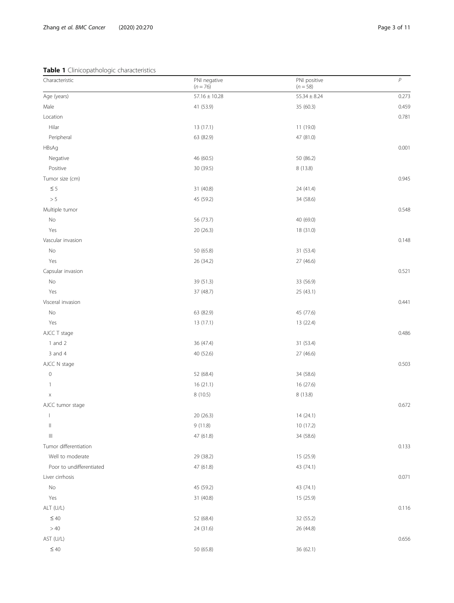<span id="page-2-0"></span>Table 1 Clinicopathologic characteristics

| Characteristic                     | PNI negative<br>$(n = 76)$ | PNI positive<br>$(n = 58)$ | $\,P$ |
|------------------------------------|----------------------------|----------------------------|-------|
| Age (years)                        | $57.16 \pm 10.28$          | $55.34 \pm 8.24$           | 0.273 |
| Male                               | 41 (53.9)                  | 35 (60.3)                  | 0.459 |
| Location                           |                            |                            | 0.781 |
| Hilar                              | 13 (17.1)                  | 11 (19.0)                  |       |
| Peripheral                         | 63 (82.9)                  | 47 (81.0)                  |       |
| HBsAg                              |                            |                            | 0.001 |
| Negative                           | 46 (60.5)                  | 50 (86.2)                  |       |
| Positive                           | 30 (39.5)                  | 8 (13.8)                   |       |
| Tumor size (cm)                    |                            |                            | 0.945 |
| $\leq 5$                           | 31 (40.8)                  | 24 (41.4)                  |       |
| $> 5\,$                            | 45 (59.2)                  | 34 (58.6)                  |       |
| Multiple tumor                     |                            |                            | 0.548 |
| No                                 | 56 (73.7)                  | 40 (69.0)                  |       |
| Yes                                | 20 (26.3)                  | 18 (31.0)                  |       |
| Vascular invasion                  |                            |                            | 0.148 |
| No                                 | 50 (65.8)                  | 31 (53.4)                  |       |
| Yes                                | 26 (34.2)                  | 27 (46.6)                  |       |
| Capsular invasion                  |                            |                            | 0.521 |
| No                                 | 39 (51.3)                  | 33 (56.9)                  |       |
| Yes                                | 37 (48.7)                  | 25 (43.1)                  |       |
| Visceral invasion                  |                            |                            | 0.441 |
| No                                 | 63 (82.9)                  | 45 (77.6)                  |       |
| Yes                                | 13 (17.1)                  | 13 (22.4)                  |       |
| AJCC T stage                       |                            |                            | 0.486 |
| 1 and 2                            | 36 (47.4)                  | 31 (53.4)                  |       |
| 3 and 4                            | 40 (52.6)                  | 27 (46.6)                  |       |
| AJCC N stage                       |                            |                            | 0.503 |
| $\mathbb O$                        | 52 (68.4)                  | 34 (58.6)                  |       |
| $\overline{\phantom{a}}$           | 16(21.1)                   | 16 (27.6)                  |       |
| $\boldsymbol{\times}$              | 8 (10.5)                   | 8 (13.8)                   |       |
| AJCC tumor stage                   |                            |                            | 0.672 |
|                                    | 20 (26.3)                  | 14 (24.1)                  |       |
| $\vert\vert$                       | 9(11.8)                    | 10(17.2)                   |       |
| $\ensuremath{\mathsf{III}}\xspace$ | 47 (61.8)                  | 34 (58.6)                  |       |
| Tumor differentiation              |                            |                            | 0.133 |
| Well to moderate                   | 29 (38.2)                  | 15 (25.9)                  |       |
| Poor to undifferentiated           | 47 (61.8)                  | 43 (74.1)                  |       |
| Liver cirrhosis                    |                            |                            | 0.071 |
| No                                 | 45 (59.2)                  | 43 (74.1)                  |       |
| Yes                                | 31 (40.8)                  | 15 (25.9)                  |       |
| ALT (U/L)                          |                            |                            | 0.116 |
| $\leq 40$                          | 52 (68.4)                  | 32 (55.2)                  |       |
| $>40$                              | 24 (31.6)                  | 26 (44.8)                  |       |
| AST (U/L)                          |                            |                            | 0.656 |
| $\leq 40$                          | 50 (65.8)                  | 36 (62.1)                  |       |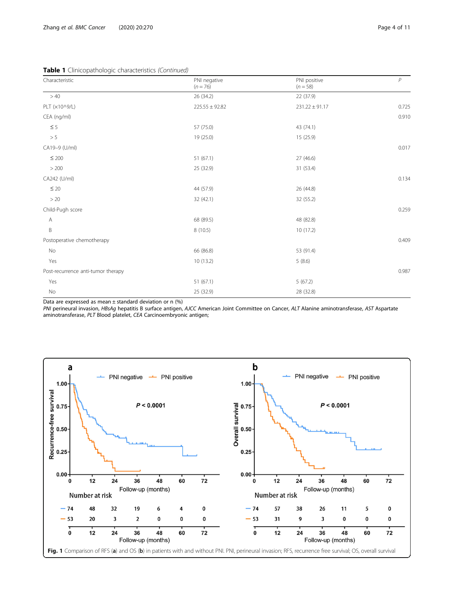# <span id="page-3-0"></span>Table 1 Clinicopathologic characteristics (Continued)

| Characteristic                     | PNI negative<br>$(n = 76)$ | PNI positive<br>$(n = 58)$ | $\overline{P}$ |  |
|------------------------------------|----------------------------|----------------------------|----------------|--|
| >40                                | 26 (34.2)                  | 22 (37.9)                  |                |  |
| PLT (×10^9/L)                      | $225.55 \pm 92.82$         | $231.22 \pm 91.17$         | 0.725          |  |
| CEA (ng/ml)                        |                            |                            | 0.910          |  |
| $\leq 5$                           | 57 (75.0)                  | 43 (74.1)                  |                |  |
| > 5                                | 19 (25.0)                  | 15 (25.9)                  |                |  |
| CA19-9 (U/ml)                      |                            |                            | 0.017          |  |
| $\leq 200$                         | 51(67.1)                   | 27 (46.6)                  |                |  |
| $>200$                             | 25 (32.9)                  | 31 (53.4)                  |                |  |
| CA242 (U/ml)                       |                            |                            | 0.134          |  |
| $\leq 20$                          | 44 (57.9)                  | 26 (44.8)                  |                |  |
| $>20\,$                            | 32 (42.1)                  | 32 (55.2)                  |                |  |
| Child-Pugh score                   |                            |                            | 0.259          |  |
| Α                                  | 68 (89.5)                  | 48 (82.8)                  |                |  |
| B                                  | 8(10.5)                    | 10 (17.2)                  |                |  |
| Postoperative chemotherapy         |                            |                            | 0.409          |  |
| No                                 | 66 (86.8)                  | 53 (91.4)                  |                |  |
| Yes                                | 10(13.2)                   | 5(8.6)                     |                |  |
| Post-recurrence anti-tumor therapy |                            |                            | 0.987          |  |
| Yes                                | 51(67.1)                   | 5(67.2)                    |                |  |
| No                                 | 25 (32.9)                  | 28 (32.8)                  |                |  |

Data are expressed as mean  $\pm$  standard deviation or n  $(\%)$ 

PNI perineural invasion, HBsAg hepatitis B surface antigen, AJCC American Joint Committee on Cancer, ALT Alanine aminotransferase, AST Aspartate aminotransferase, PLT Blood platelet, CEA Carcinoembryonic antigen;

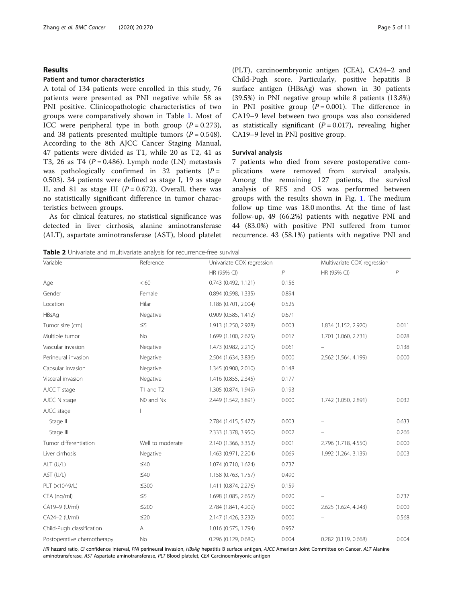# <span id="page-4-0"></span>Results

# Patient and tumor characteristics

A total of 134 patients were enrolled in this study, 76 patients were presented as PNI negative while 58 as PNI positive. Clinicopathologic characteristics of two groups were comparatively shown in Table [1.](#page-2-0) Most of ICC were peripheral type in both group  $(P = 0.273)$ , and 38 patients presented multiple tumors ( $P = 0.548$ ). According to the 8th AJCC Cancer Staging Manual, 47 patients were divided as T1, while 20 as T2, 41 as T3, 26 as T4 ( $P = 0.486$ ). Lymph node (LN) metastasis was pathologically confirmed in 32 patients  $(P =$ 0.503). 34 patients were defined as stage I, 19 as stage II, and 81 as stage III ( $P = 0.672$ ). Overall, there was no statistically significant difference in tumor characteristics between groups.

As for clinical features, no statistical significance was detected in liver cirrhosis, alanine aminotransferase (ALT), aspartate aminotransferase (AST), blood platelet

(PLT), carcinoembryonic antigen (CEA), CA24–2 and Child-Pugh score. Particularly, positive hepatitis B surface antigen (HBsAg) was shown in 30 patients (39.5%) in PNI negative group while 8 patients (13.8%) in PNI positive group  $(P = 0.001)$ . The difference in CA19–9 level between two groups was also considered as statistically significant  $(P = 0.017)$ , revealing higher CA19–9 level in PNI positive group.

# Survival analysis

7 patients who died from severe postoperative complications were removed from survival analysis. Among the remaining 127 patients, the survival analysis of RFS and OS was performed between groups with the results shown in Fig. [1.](#page-3-0) The medium follow up time was 18.0 months. At the time of last follow-up, 49 (66.2%) patients with negative PNI and 44 (83.0%) with positive PNI suffered from tumor recurrence. 43 (58.1%) patients with negative PNI and

Table 2 Univariate and multivariate analysis for recurrence-free survival

| Variable                   | Reference        | Univariate COX regression |                | Multivariate COX regression |                |
|----------------------------|------------------|---------------------------|----------------|-----------------------------|----------------|
|                            |                  | HR (95% CI)               | $\overline{P}$ | HR (95% CI)                 | $\overline{P}$ |
| Age                        | < 60             | 0.743(0.492, 1.121)       | 0.156          |                             |                |
| Gender                     | Female           | $0.894$ (0.598, 1.335)    | 0.894          |                             |                |
| Location                   | Hilar            | 1.186 (0.701, 2.004)      | 0.525          |                             |                |
| HBsAg                      | Negative         | 0.909 (0.585, 1.412)      | 0.671          |                             |                |
| Tumor size (cm)            | $\leq 5$         | 1.913 (1.250, 2.928)      | 0.003          | 1.834 (1.152, 2.920)        | 0.011          |
| Multiple tumor             | No               | 1.699 (1.100, 2.625)      | 0.017          | 1.701 (1.060, 2.731)        | 0.028          |
| Vascular invasion          | Negative         | 1.473 (0.982, 2.210)      | 0.061          |                             | 0.138          |
| Perineural invasion        | Negative         | 2.504 (1.634, 3.836)      | 0.000          | 2.562 (1.564, 4.199)        | 0.000          |
| Capsular invasion          | Negative         | 1.345 (0.900, 2.010)      | 0.148          |                             |                |
| Visceral invasion          | Negative         | 1.416 (0.855, 2.345)      | 0.177          |                             |                |
| AJCC T stage               | T1 and T2        | 1.305 (0.874, 1.949)      | 0.193          |                             |                |
| AJCC N stage               | N0 and Nx        | 2.449 (1.542, 3.891)      | 0.000          | 1.742 (1.050, 2.891)        | 0.032          |
| AJCC stage                 |                  |                           |                |                             |                |
| Stage II                   |                  | 2.784 (1.415, 5.477)      | 0.003          |                             | 0.633          |
| Stage III                  |                  | 2.333 (1.378, 3.950)      | 0.002          |                             | 0.266          |
| Tumor differentiation      | Well to moderate | 2.140 (1.366, 3.352)      | 0.001          | 2.796 (1.718, 4.550)        | 0.000          |
| Liver cirrhosis            | Negative         | 1.463 (0.971, 2.204)      | 0.069          | 1.992 (1.264, 3.139)        | 0.003          |
| ALT (U/L)                  | $\leq 40$        | 1.074 (0.710, 1.624)      | 0.737          |                             |                |
| AST (U/L)                  | $\leq 40$        | 1.158 (0.763, 1.757)      | 0.490          |                             |                |
| PLT (×10^9/L)              | $≤300$           | 1.411 (0.874, 2.276)      | 0.159          |                             |                |
| CEA (ng/ml)                | $\leq$ 5         | 1.698 (1.085, 2.657)      | 0.020          |                             | 0.737          |
| CA19-9 (U/ml)              | $≤200$           | 2.784 (1.841, 4.209)      | 0.000          | 2.625 (1.624, 4.243)        | 0.000          |
| CA24-2 (U/ml)              | $\leq$ 20        | 2.147 (1.426, 3.232)      | 0.000          |                             | 0.568          |
| Child-Pugh classification  | Α                | 1.016 (0.575, 1.794)      | 0.957          |                             |                |
| Postoperative chemotherapy | No               | 0.296 (0.129, 0.680)      | 0.004          | 0.282 (0.119, 0.668)        | 0.004          |

HR hazard ratio, CI confidence interval, PNI perineural invasion, HBsAg hepatitis B surface antigen, AJCC American Joint Committee on Cancer, ALT Alanine aminotransferase, AST Aspartate aminotransferase, PLT Blood platelet, CEA Carcinoembryonic antigen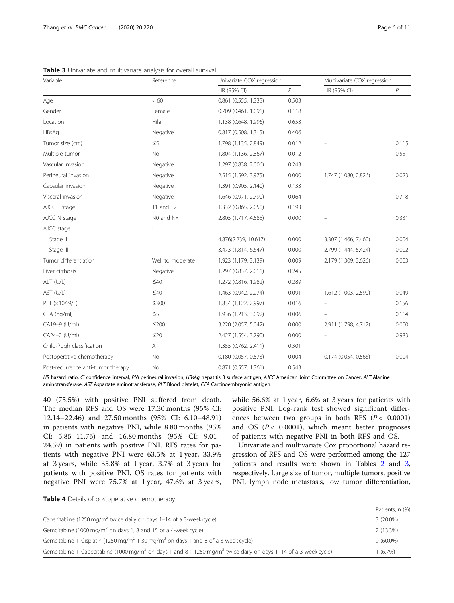<span id="page-5-0"></span>

| <b>Table 3</b> Univariate and multivariate analysis for overall survival |  |
|--------------------------------------------------------------------------|--|
|--------------------------------------------------------------------------|--|

| Variable                           | Reference        | Univariate COX regression |              | Multivariate COX regression |                |
|------------------------------------|------------------|---------------------------|--------------|-----------------------------|----------------|
|                                    |                  | HR (95% CI)               | $\mathsf{P}$ | HR (95% CI)                 | $\overline{P}$ |
| Age                                | < 60             | $0.861$ $(0.555, 1.335)$  | 0.503        |                             |                |
| Gender                             | Female           | 0.709 (0.461, 1.091)      | 0.118        |                             |                |
| Location                           | Hilar            | 1.138 (0.648, 1.996)      | 0.653        |                             |                |
| HBsAg                              | Negative         | 0.817 (0.508, 1.315)      | 0.406        |                             |                |
| Tumor size (cm)                    | $\leq$ 5         | 1.798 (1.135, 2.849)      | 0.012        |                             | 0.115          |
| Multiple tumor                     | No               | 1.804 (1.136, 2.867)      | 0.012        |                             | 0.551          |
| Vascular invasion                  | Negative         | 1.297 (0.838, 2.006)      | 0.243        |                             |                |
| Perineural invasion                | Negative         | 2.515 (1.592, 3.975)      | 0.000        | 1.747 (1.080, 2.826)        | 0.023          |
| Capsular invasion                  | Negative         | 1.391 (0.905, 2.140)      | 0.133        |                             |                |
| Visceral invasion                  | Negative         | 1.646 (0.971, 2.790)      | 0.064        |                             | 0.718          |
| AJCC T stage                       | T1 and T2        | 1.332 (0.865, 2.050)      | 0.193        |                             |                |
| AJCC N stage                       | N0 and Nx        | 2.805 (1.717, 4.585)      | 0.000        |                             | 0.331          |
| AJCC stage                         |                  |                           |              |                             |                |
| Stage II                           |                  | 4.876(2.239, 10.617)      | 0.000        | 3.307 (1.466, 7.460)        | 0.004          |
| Stage III                          |                  | 3.473 (1.814, 6.647)      | 0.000        | 2.799 (1.444, 5.424)        | 0.002          |
| Tumor differentiation              | Well to moderate | 1.923 (1.179, 3.139)      | 0.009        | 2.179 (1.309, 3.626)        | 0.003          |
| Liver cirrhosis                    | Negative         | 1.297 (0.837, 2.011)      | 0.245        |                             |                |
| ALT (U/L)                          | $\leq 40$        | 1.272 (0.816, 1.982)      | 0.289        |                             |                |
| AST (U/L)                          | $\leq 40$        | 1.463 (0.942, 2.274)      | 0.091        | 1.612 (1.003, 2.590)        | 0.049          |
| PLT (×10^9/L)                      | $≤300$           | 1.834 (1.122, 2.997)      | 0.016        |                             | 0.156          |
| CEA (ng/ml)                        | $\leq$ 5         | 1.936 (1.213, 3.092)      | 0.006        |                             | 0.114          |
| CA19-9 (U/ml)                      | $≤200$           | 3.220 (2.057, 5.042)      | 0.000        | 2.911 (1.798, 4.712)        | 0.000          |
| CA24-2 (U/ml)                      | $\leq$ 20        | 2.427 (1.554, 3.790)      | 0.000        |                             | 0.983          |
| Child-Pugh classification          | Α                | 1.355 (0.762, 2.411)      | 0.301        |                             |                |
| Postoperative chemotherapy         | No               | 0.180 (0.057, 0.573)      | 0.004        | 0.174 (0.054, 0.566)        | 0.004          |
| Post-recurrence anti-tumor therapy | No               | 0.871 (0.557, 1.361)      | 0.543        |                             |                |

HR hazard ratio, CI confidence interval, PNI perineural invasion, HBsAg hepatitis B surface antigen, AJCC American Joint Committee on Cancer, ALT Alanine aminotransferase, AST Aspartate aminotransferase, PLT Blood platelet, CEA Carcinoembryonic antigen

40 (75.5%) with positive PNI suffered from death. The median RFS and OS were 17.30 months (95% CI: 12.14–22.46) and 27.50 months (95% CI: 6.10–48.91) in patients with negative PNI, while 8.80 months (95% CI: 5.85–11.76) and 16.80 months (95% CI: 9.01– 24.59) in patients with positive PNI. RFS rates for patients with negative PNI were 63.5% at 1 year, 33.9% at 3 years, while 35.8% at 1 year, 3.7% at 3 years for patients with positive PNI. OS rates for patients with negative PNI were 75.7% at 1 year, 47.6% at 3 years, while 56.6% at 1 year, 6.6% at 3 years for patients with positive PNI. Log-rank test showed significant differences between two groups in both RFS  $(P < 0.0001)$ and OS ( $P < 0.0001$ ), which meant better prognoses of patients with negative PNI in both RFS and OS.

Univariate and multivariate Cox proportional hazard regression of RFS and OS were performed among the 127 patients and results were shown in Tables [2](#page-4-0) and 3, respectively. Large size of tumor, multiple tumors, positive PNI, lymph node metastasis, low tumor differentiation,

Table 4 Details of postoperative chemotherapy

|                                                                                                                                         | Patients, n (%) |
|-----------------------------------------------------------------------------------------------------------------------------------------|-----------------|
| Capecitabine (1250 mg/m <sup>2</sup> twice daily on days 1-14 of a 3-week cycle)                                                        | $3(20.0\%)$     |
| Gemcitabine (1000 mg/m <sup>2</sup> on days 1, 8 and 15 of a 4-week cycle)                                                              | 2(13.3%)        |
| Gemcitabine + Cisplatin (1250 mg/m <sup>2</sup> + 30 mg/m <sup>2</sup> on days 1 and 8 of a 3-week cycle)                               | $9(60.0\%)$     |
| Gemcitabine + Capecitabine (1000 mg/m <sup>2</sup> on days 1 and 8 + 1250 mg/m <sup>2</sup> twice daily on days 1–14 of a 3-week cycle) | 1(6.7%)         |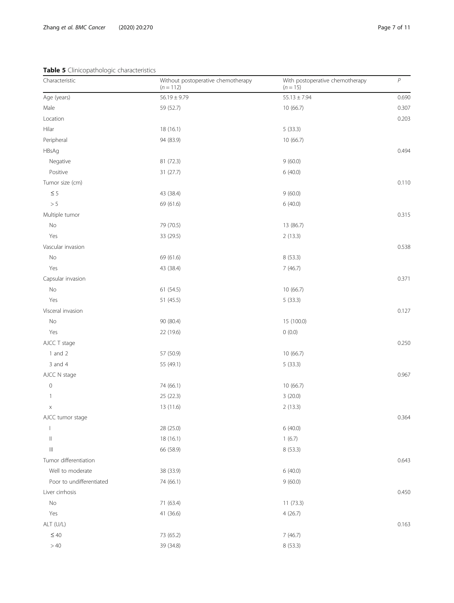# <span id="page-6-0"></span>Table 5 Clinicopathologic characteristics

| ⊃<br>Characteristic                   | Without postoperative chemotherapy<br>$(n = 112)$ | With postoperative chemotherapy<br>$(n = 15)$ | P<br>0.690 |
|---------------------------------------|---------------------------------------------------|-----------------------------------------------|------------|
| Age (years)                           | $56.19 \pm 9.79$                                  | $55.13 \pm 7.94$                              |            |
| Male                                  | 59 (52.7)                                         | 10 (66.7)                                     | 0.307      |
| Location                              |                                                   |                                               | 0.203      |
| Hilar                                 | 18 (16.1)                                         | 5(33.3)                                       |            |
| Peripheral                            | 94 (83.9)                                         | 10 (66.7)                                     |            |
| HBsAg                                 |                                                   |                                               | 0.494      |
| Negative                              | 81 (72.3)                                         | 9(60.0)                                       |            |
| Positive                              | 31 (27.7)                                         | 6(40.0)                                       |            |
| Tumor size (cm)                       |                                                   |                                               | 0.110      |
| $\leq 5$                              | 43 (38.4)                                         | 9(60.0)                                       |            |
| > 5                                   | 69 (61.6)                                         | 6(40.0)                                       |            |
| Multiple tumor                        |                                                   |                                               | 0.315      |
| $\rm No$                              | 79 (70.5)                                         | 13 (86.7)                                     |            |
| Yes                                   | 33 (29.5)                                         | 2(13.3)                                       |            |
| Vascular invasion                     |                                                   |                                               | 0.538      |
| No                                    | 69 (61.6)                                         | 8 (53.3)                                      |            |
| Yes                                   | 43 (38.4)                                         | 7(46.7)                                       |            |
| Capsular invasion                     |                                                   |                                               | 0.371      |
| No                                    | 61 (54.5)                                         | 10 (66.7)                                     |            |
| Yes                                   | 51 (45.5)                                         | 5(33.3)                                       |            |
| Visceral invasion                     |                                                   |                                               | 0.127      |
| No                                    | 90 (80.4)                                         | 15 (100.0)                                    |            |
| Yes                                   | 22 (19.6)                                         | 0(0.0)                                        |            |
| AJCC T stage                          |                                                   |                                               | 0.250      |
| 1 and 2                               | 57 (50.9)                                         | 10 (66.7)                                     |            |
| $3$ and $4$                           | 55 (49.1)                                         | 5(33.3)                                       |            |
| AJCC N stage                          |                                                   |                                               | 0.967      |
| $\mathbb O$                           | 74 (66.1)                                         | 10 (66.7)                                     |            |
| $\mathbf{1}$                          | 25 (22.3)                                         | 3(20.0)                                       |            |
| $\boldsymbol{\mathsf{X}}$             | 13 (11.6)                                         | 2(13.3)                                       |            |
| AJCC tumor stage                      |                                                   |                                               | 0.364      |
|                                       | 28 (25.0)                                         | 6(40.0)                                       |            |
| $\, \parallel$                        | 18 (16.1)                                         | 1(6.7)                                        |            |
| $\begin{array}{c} \hline \end{array}$ | 66 (58.9)                                         | 8 (53.3)                                      |            |
| Tumor differentiation                 |                                                   |                                               | 0.643      |
| Well to moderate                      | 38 (33.9)                                         | 6(40.0)                                       |            |
| Poor to undifferentiated              | 74 (66.1)                                         | 9(60.0)                                       |            |
| Liver cirrhosis                       |                                                   |                                               | 0.450      |
| No                                    | 71 (63.4)                                         | 11 (73.3)                                     |            |
| Yes                                   | 41 (36.6)                                         | 4(26.7)                                       |            |
| ALT (U/L)                             |                                                   |                                               | 0.163      |
| $\leq 40$                             | 73 (65.2)                                         | 7(46.7)                                       |            |
| >40                                   | 39 (34.8)                                         | 8 (53.3)                                      |            |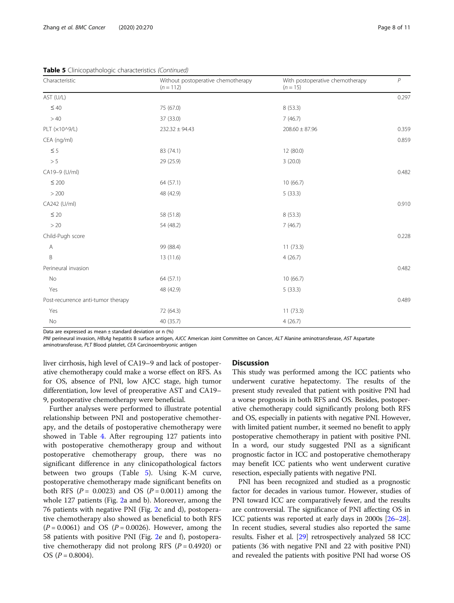| Without postoperative chemotherapy<br>Characteristic<br>$(n = 112)$ |                    | With postoperative chemotherapy<br>$(n = 15)$ | $\overline{P}$ |  |
|---------------------------------------------------------------------|--------------------|-----------------------------------------------|----------------|--|
| AST (U/L)                                                           |                    |                                               | 0.297          |  |
| $\leq 40$                                                           | 75 (67.0)          | 8 (53.3)                                      |                |  |
| >40                                                                 | 37 (33.0)          | 7(46.7)                                       |                |  |
| PLT (×10^9/L)                                                       | $232.32 \pm 94.43$ | $208.60 \pm 87.96$                            | 0.359          |  |
| CEA (ng/ml)                                                         |                    |                                               | 0.859          |  |
| $\leq$ 5                                                            | 83 (74.1)          | 12 (80.0)                                     |                |  |
| $> 5\,$                                                             | 29 (25.9)          | 3(20.0)                                       |                |  |
| CA19-9 (U/ml)                                                       |                    |                                               | 0.482          |  |
| $\leq 200$                                                          | 64 (57.1)          | 10(66.7)                                      |                |  |
| $>200$                                                              | 48 (42.9)          | 5(33.3)                                       |                |  |
| CA242 (U/ml)                                                        |                    |                                               | 0.910          |  |
| $\leq 20$                                                           | 58 (51.8)          | 8(53.3)                                       |                |  |
| >20                                                                 | 54 (48.2)          | 7(46.7)                                       |                |  |
| Child-Pugh score                                                    |                    |                                               | 0.228          |  |
| Α                                                                   | 99 (88.4)          | 11(73.3)                                      |                |  |
| B                                                                   | 13 (11.6)          | 4(26.7)                                       |                |  |
| Perineural invasion                                                 |                    |                                               | 0.482          |  |
| No                                                                  | 64 (57.1)          | 10 (66.7)                                     |                |  |
| Yes                                                                 | 48 (42.9)          | 5(33.3)                                       |                |  |
| Post-recurrence anti-tumor therapy                                  |                    |                                               | 0.489          |  |
| Yes                                                                 | 72 (64.3)          | 11(73.3)                                      |                |  |
| No                                                                  | 40 (35.7)          | 4(26.7)                                       |                |  |

Table 5 Clinicopathologic characteristics (Continued)

Data are expressed as mean ± standard deviation or n (%)

PNI perineural invasion, HBsAg hepatitis B surface antigen, AJCC American Joint Committee on Cancer, ALT Alanine aminotransferase, AST Aspartate aminotransferase, PLT Blood platelet, CEA Carcinoembryonic antigen

liver cirrhosis, high level of CA19–9 and lack of postoperative chemotherapy could make a worse effect on RFS. As for OS, absence of PNI, low AJCC stage, high tumor differentiation, low level of preoperative AST and CA19– 9, postoperative chemotherapy were beneficial.

Further analyses were performed to illustrate potential relationship between PNI and postoperative chemotherapy, and the details of postoperative chemotherapy were showed in Table [4.](#page-5-0) After regrouping 127 patients into with postoperative chemotherapy group and without postoperative chemotherapy group, there was no significant difference in any clinicopathological factors between two groups (Table [5](#page-6-0)). Using K-M curve, postoperative chemotherapy made significant benefits on both RFS ( $P = 0.0023$ ) and OS ( $P = 0.0011$ ) among the whole 127 patients (Fig. [2a](#page-8-0) and b). Moreover, among the 76 patients with negative PNI (Fig. [2c](#page-8-0) and d), postoperative chemotherapy also showed as beneficial to both RFS  $(P = 0.0061)$  and OS  $(P = 0.0026)$ . However, among the 58 patients with positive PNI (Fig. [2](#page-8-0)e and f), postoperative chemotherapy did not prolong RFS  $(P = 0.4920)$  or OS  $(P = 0.8004)$ .

# **Discussion**

This study was performed among the ICC patients who underwent curative hepatectomy. The results of the present study revealed that patient with positive PNI had a worse prognosis in both RFS and OS. Besides, postoperative chemotherapy could significantly prolong both RFS and OS, especially in patients with negative PNI. However, with limited patient number, it seemed no benefit to apply postoperative chemotherapy in patient with positive PNI. In a word, our study suggested PNI as a significant prognostic factor in ICC and postoperative chemotherapy may benefit ICC patients who went underwent curative resection, especially patients with negative PNI.

PNI has been recognized and studied as a prognostic factor for decades in various tumor. However, studies of PNI toward ICC are comparatively fewer, and the results are controversial. The significance of PNI affecting OS in ICC patients was reported at early days in 2000s [\[26](#page-10-0)–[28](#page-10-0)]. In recent studies, several studies also reported the same results. Fisher et al. [\[29\]](#page-10-0) retrospectively analyzed 58 ICC patients (36 with negative PNI and 22 with positive PNI) and revealed the patients with positive PNI had worse OS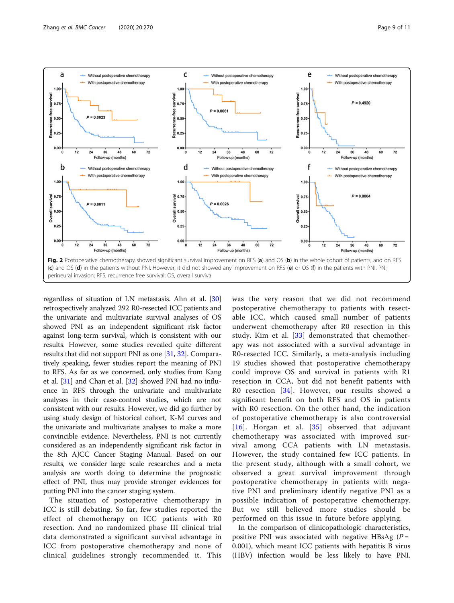<span id="page-8-0"></span>

regardless of situation of LN metastasis. Ahn et al. [[30](#page-10-0)] retrospectively analyzed 292 R0-resected ICC patients and the univariate and multivariate survival analyses of OS showed PNI as an independent significant risk factor against long-term survival, which is consistent with our results. However, some studies revealed quite different results that did not support PNI as one [\[31,](#page-10-0) [32](#page-10-0)]. Comparatively speaking, fewer studies report the meaning of PNI to RFS. As far as we concerned, only studies from Kang et al. [[31](#page-10-0)] and Chan et al. [[32\]](#page-10-0) showed PNI had no influence in RFS through the univariate and multivariate analyses in their case-control studies, which are not consistent with our results. However, we did go further by using study design of historical cohort, K-M curves and the univariate and multivariate analyses to make a more convincible evidence. Nevertheless, PNI is not currently considered as an independently significant risk factor in the 8th AJCC Cancer Staging Manual. Based on our results, we consider large scale researches and a meta analysis are worth doing to determine the prognostic effect of PNI, thus may provide stronger evidences for putting PNI into the cancer staging system.

The situation of postoperative chemotherapy in ICC is still debating. So far, few studies reported the effect of chemotherapy on ICC patients with R0 resection. And no randomized phase III clinical trial data demonstrated a significant survival advantage in ICC from postoperative chemotherapy and none of clinical guidelines strongly recommended it. This

was the very reason that we did not recommend postoperative chemotherapy to patients with resectable ICC, which caused small number of patients underwent chemotherapy after R0 resection in this study. Kim et al. [[33](#page-10-0)] demonstrated that chemotherapy was not associated with a survival advantage in R0-resected ICC. Similarly, a meta-analysis including 19 studies showed that postoperative chemotherapy could improve OS and survival in patients with R1 resection in CCA, but did not benefit patients with R0 resection [[34](#page-10-0)]. However, our results showed a significant benefit on both RFS and OS in patients with R0 resection. On the other hand, the indication of postoperative chemotherapy is also controversial [[16\]](#page-10-0). Horgan et al. [[35\]](#page-10-0) observed that adjuvant chemotherapy was associated with improved survival among CCA patients with LN metastasis. However, the study contained few ICC patients. In the present study, although with a small cohort, we observed a great survival improvement through postoperative chemotherapy in patients with negative PNI and preliminary identify negative PNI as a possible indication of postoperative chemotherapy. But we still believed more studies should be performed on this issue in future before applying.

In the comparison of clinicopathologic characteristics, positive PNI was associated with negative HBsAg ( $P =$ 0.001), which meant ICC patients with hepatitis B virus (HBV) infection would be less likely to have PNI.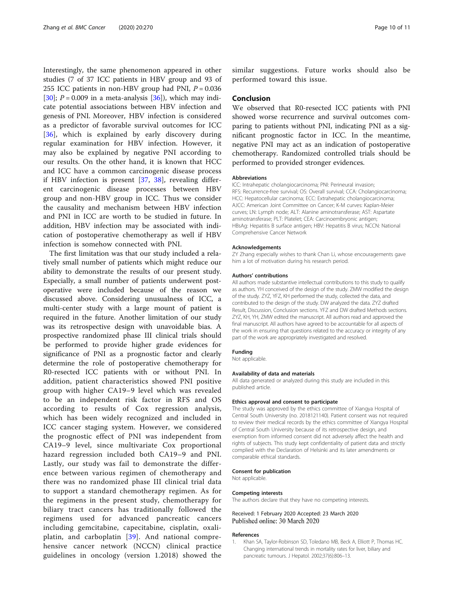<span id="page-9-0"></span>Interestingly, the same phenomenon appeared in other studies (7 of 37 ICC patients in HBV group and 93 of 255 ICC patients in non-HBV group had PNI,  $P = 0.036$ [[30\]](#page-10-0);  $P = 0.009$  in a meta-analysis [[36](#page-10-0)]), which may indicate potential associations between HBV infection and genesis of PNI. Moreover, HBV infection is considered as a predictor of favorable survival outcomes for ICC [[36\]](#page-10-0), which is explained by early discovery during regular examination for HBV infection. However, it may also be explained by negative PNI according to our results. On the other hand, it is known that HCC and ICC have a common carcinogenic disease process if HBV infection is present [[37,](#page-10-0) [38\]](#page-10-0), revealing different carcinogenic disease processes between HBV group and non-HBV group in ICC. Thus we consider the causality and mechanism between HBV infection and PNI in ICC are worth to be studied in future. In addition, HBV infection may be associated with indication of postoperative chemotherapy as well if HBV infection is somehow connected with PNI.

The first limitation was that our study included a relatively small number of patients which might reduce our ability to demonstrate the results of our present study. Especially, a small number of patients underwent postoperative were included because of the reason we discussed above. Considering unusualness of ICC, a multi-center study with a large mount of patient is required in the future. Another limitation of our study was its retrospective design with unavoidable bias. A prospective randomized phase III clinical trials should be performed to provide higher grade evidences for significance of PNI as a prognostic factor and clearly determine the role of postoperative chemotherapy for R0-resected ICC patients with or without PNI. In addition, patient characteristics showed PNI positive group with higher CA19–9 level which was revealed to be an independent risk factor in RFS and OS according to results of Cox regression analysis, which has been widely recognized and included in ICC cancer staging system. However, we considered the prognostic effect of PNI was independent from CA19–9 level, since multivariate Cox proportional hazard regression included both CA19–9 and PNI. Lastly, our study was fail to demonstrate the difference between various regimen of chemotherapy and there was no randomized phase III clinical trial data to support a standard chemotherapy regimen. As for the regimens in the present study, chemotherapy for biliary tract cancers has traditionally followed the regimens used for advanced pancreatic cancers including gemcitabine, capecitabine, cisplatin, oxaliplatin, and carboplatin [\[39\]](#page-10-0). And national comprehensive cancer network (NCCN) clinical practice guidelines in oncology (version 1.2018) showed the

similar suggestions. Future works should also be performed toward this issue.

# Conclusion

We observed that R0-resected ICC patients with PNI showed worse recurrence and survival outcomes comparing to patients without PNI, indicating PNI as a significant prognostic factor in ICC. In the meantime, negative PNI may act as an indication of postoperative chemotherapy. Randomized controlled trials should be performed to provided stronger evidences.

# **Abbreviations**

ICC: Intrahepatic cholangiocarcinoma; PNI: Perineural invasion; RFS: Recurrence-free survival; OS: Overall survival; CCA: Cholangiocarcinoma; HCC: Hepatocellular carcinoma; ECC: Extrahepatic cholangiocarcinoma; AJCC: American Joint Committee on Cancer; K-M curves: Kaplan-Meier curves; LN: Lymph node; ALT: Alanine aminotransferase; AST: Aspartate aminotransferase; PLT: Platelet; CEA: Carcinoembryonic antigen; HBsAg: Hepatitis B surface antigen; HBV: Hepatitis B virus; NCCN: National Comprehensive Cancer Network

#### Acknowledgements

ZY Zhang especially wishes to thank Chan Li, whose encouragements gave him a lot of motivation during his research period.

#### Authors' contributions

All authors made substantive intellectual contributions to this study to qualify as authors. YH conceived of the design of the study. ZMW modified the design of the study. ZYZ, YFZ, KH performed the study, collected the data, and contributed to the design of the study. DW analyzed the data. ZYZ drafted Result, Discussion, Conclusion sections. YFZ and DW drafted Methods sections. ZYZ, KH, YH, ZMW edited the manuscript. All authors read and approved the final manuscript. All authors have agreed to be accountable for all aspects of the work in ensuring that questions related to the accuracy or integrity of any part of the work are appropriately investigated and resolved.

#### Funding

Not applicable.

#### Availability of data and materials

All data generated or analyzed during this study are included in this published article.

## Ethics approval and consent to participate

The study was approved by the ethics committee of Xiangya Hospital of Central South University (no. 2018121140). Patient consent was not required to review their medical records by the ethics committee of Xiangya Hospital of Central South University because of its retrospective design, and exemption from informed consent did not adversely affect the health and rights of subjects. This study kept confidentiality of patient data and strictly complied with the Declaration of Helsinki and its later amendments or comparable ethical standards.

#### Consent for publication

Not applicable.

#### Competing interests

The authors declare that they have no competing interests.

## Received: 1 February 2020 Accepted: 23 March 2020 Published online: 30 March 2020

#### References

Khan SA, Taylor-Robinson SD, Toledano MB, Beck A, Elliott P, Thomas HC. Changing international trends in mortality rates for liver, biliary and pancreatic tumours. J Hepatol. 2002;37(6):806–13.